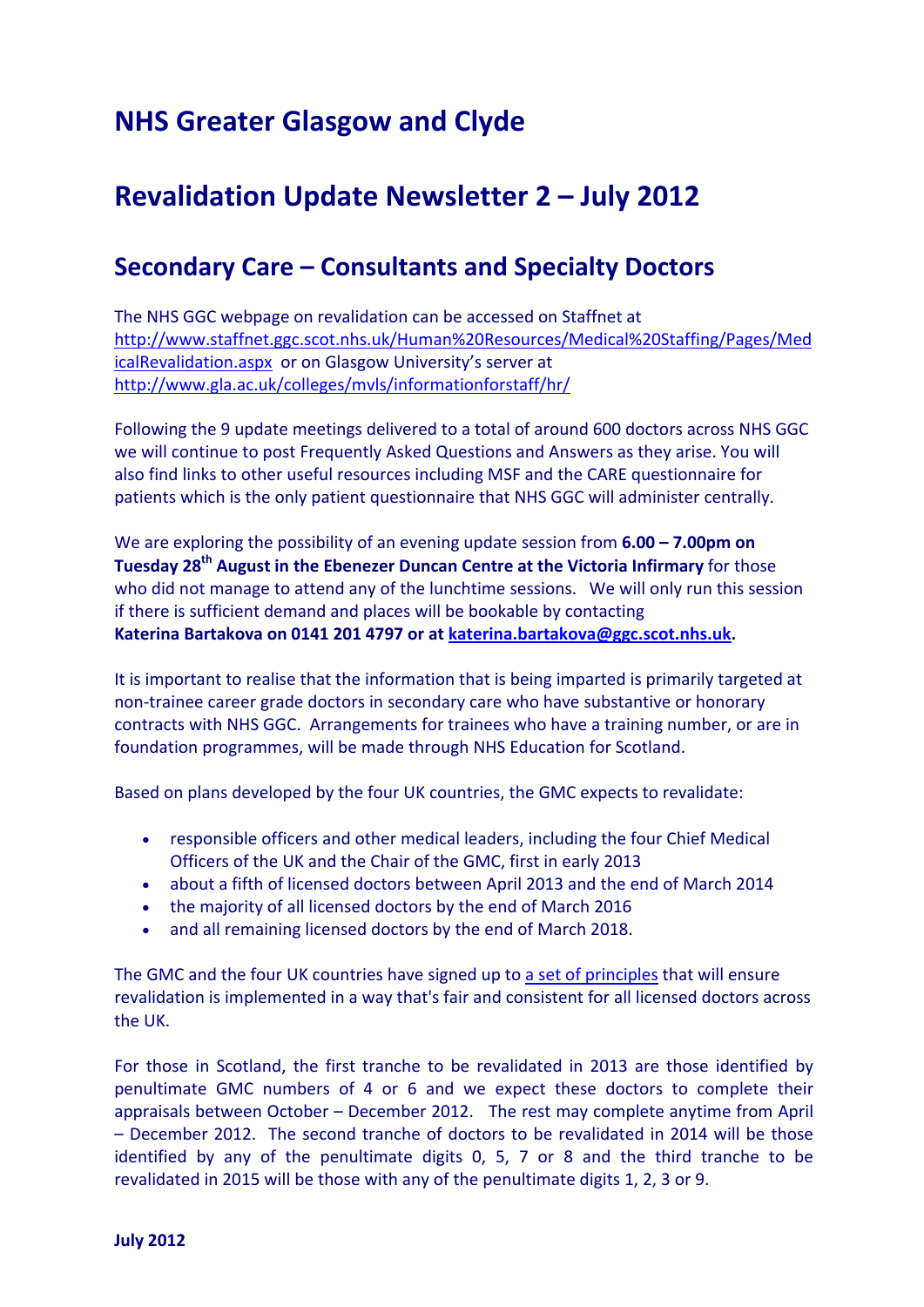## **NHS Greater Glasgow and Clyde**

## **Revalidation Update Newsletter 2 – July 2012**

## **Secondary Care – Consultants and Specialty Doctors**

The NHS GGC webpage on revalidation can be accessed on Staffnet at [http://www.staffnet.ggc.scot.nhs.uk/Human%20Resources/Medical%20Staffing/Pages/Med](http://www.staffnet.ggc.scot.nhs.uk/Human%20Resources/Medical%20Staffing/Pages/MedicalRevalidation.aspx) [icalRevalidation.aspx](http://www.staffnet.ggc.scot.nhs.uk/Human%20Resources/Medical%20Staffing/Pages/MedicalRevalidation.aspx) or on Glasgow University's server at http://www.gla.ac.uk/colleges/mvls/informationforstaff/hr/

Following the 9 update meetings delivered to a total of around 600 doctors across NHS GGC we will continue to post Frequently Asked Questions and Answers as they arise. You will also find links to other useful resources including MSF and the CARE questionnaire for patients which is the only patient questionnaire that NHS GGC will administer centrally.

We are exploring the possibility of an evening update session from **6.00 – 7.00pm on Tuesday 28th August in the Ebenezer Duncan Centre at the Victoria Infirmary** for those who did not manage to attend any of the lunchtime sessions. We will only run this session if there is sufficient demand and places will be bookable by contacting **Katerina Bartakova on 0141 201 4797 or at katerina.bartakova@ggc.scot.nhs.uk.**

It is important to realise that the information that is being imparted is primarily targeted at non‐trainee career grade doctors in secondary care who have substantive or honorary contracts with NHS GGC. Arrangements for trainees who have a training number, or are in foundation programmes, will be made through NHS Education for Scotland.

Based on plans developed by the four UK countries, the GMC expects to revalidate:

- responsible officers and other medical leaders, including the four Chief Medical Officers of the UK and the Chair of the GMC, first in early 2013
- about a fifth of licensed doctors between April 2013 and the end of March 2014
- the majority of all licensed doctors by the end of March 2016
- and all remaining licensed doctors by the end of March 2018.

The GMC and the four UK countries have signed up to a set of [principles](http://dmtrk.com/CUG-UG1F-6D6EX2-BTTO3-1/c.aspx) that will ensure revalidation is implemented in a way that's fair and consistent for all licensed doctors across the UK.

For those in Scotland, the first tranche to be revalidated in 2013 are those identified by penultimate GMC numbers of 4 or 6 and we expect these doctors to complete their appraisals between October – December 2012. The rest may complete anytime from April – December 2012. The second tranche of doctors to be revalidated in 2014 will be those identified by any of the penultimate digits 0, 5, 7 or 8 and the third tranche to be revalidated in 2015 will be those with any of the penultimate digits 1, 2, 3 or 9.